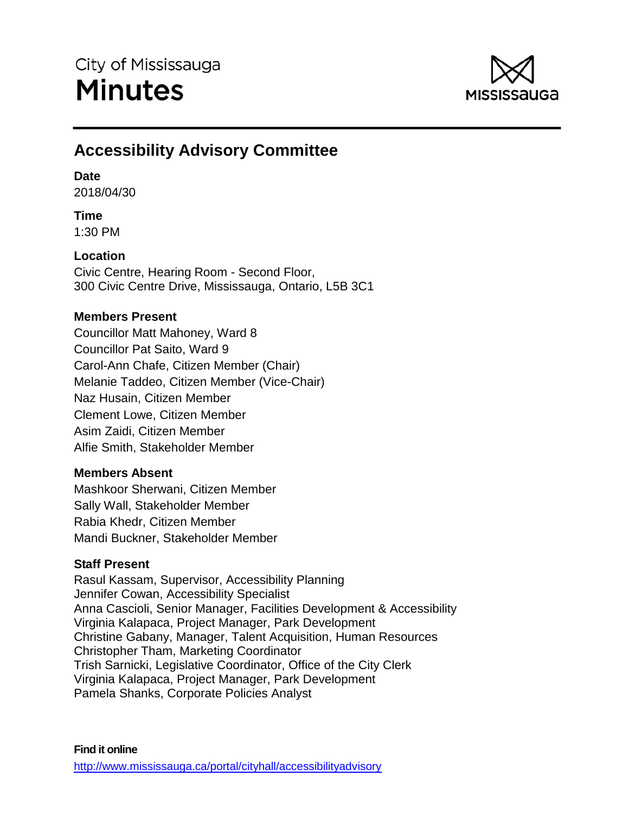

# **Accessibility Advisory Committee**

## **Date**

2018/04/30

## **Time**

1:30 PM

## **Location**

Civic Centre, Hearing Room - Second Floor, 300 Civic Centre Drive, Mississauga, Ontario, L5B 3C1

## **Members Present**

Councillor Matt Mahoney, Ward 8 Councillor Pat Saito, Ward 9 Carol-Ann Chafe, Citizen Member (Chair) Melanie Taddeo, Citizen Member (Vice-Chair) Naz Husain, Citizen Member Clement Lowe, Citizen Member Asim Zaidi, Citizen Member Alfie Smith, Stakeholder Member

## **Members Absent**

Mashkoor Sherwani, Citizen Member Sally Wall, Stakeholder Member Rabia Khedr, Citizen Member Mandi Buckner, Stakeholder Member

## **Staff Present**

Rasul Kassam, Supervisor, Accessibility Planning Jennifer Cowan, Accessibility Specialist Anna Cascioli, Senior Manager, Facilities Development & Accessibility Virginia Kalapaca, Project Manager, Park Development Christine Gabany, Manager, Talent Acquisition, Human Resources Christopher Tham, Marketing Coordinator Trish Sarnicki, Legislative Coordinator, Office of the City Clerk Virginia Kalapaca, Project Manager, Park Development Pamela Shanks, Corporate Policies Analyst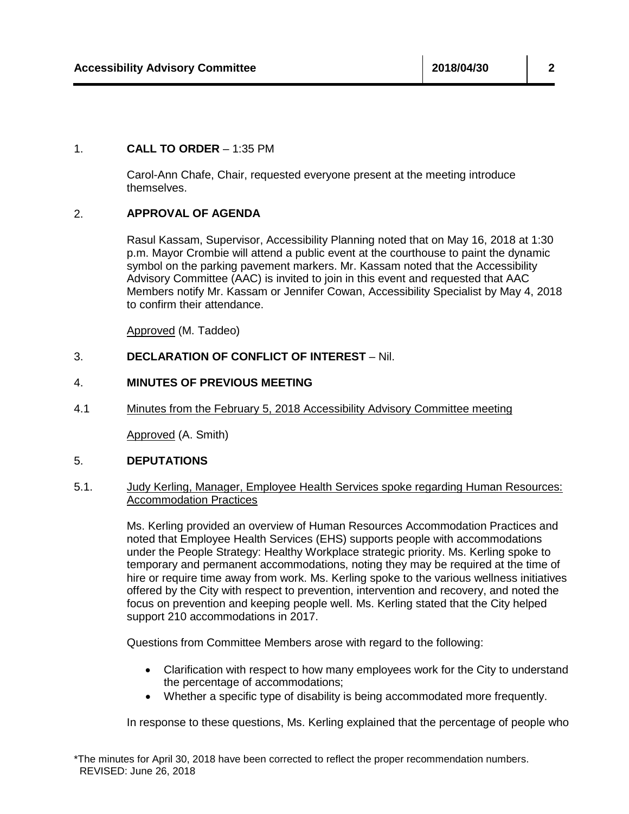#### 1. **CALL TO ORDER** – 1:35 PM

Carol-Ann Chafe, Chair, requested everyone present at the meeting introduce themselves.

### 2. **APPROVAL OF AGENDA**

Rasul Kassam, Supervisor, Accessibility Planning noted that on May 16, 2018 at 1:30 p.m. Mayor Crombie will attend a public event at the courthouse to paint the dynamic symbol on the parking pavement markers. Mr. Kassam noted that the Accessibility Advisory Committee (AAC) is invited to join in this event and requested that AAC Members notify Mr. Kassam or Jennifer Cowan, Accessibility Specialist by May 4, 2018 to confirm their attendance.

Approved (M. Taddeo)

### 3. **DECLARATION OF CONFLICT OF INTEREST** – Nil.

#### 4. **MINUTES OF PREVIOUS MEETING**

4.1 Minutes from the February 5, 2018 Accessibility Advisory Committee meeting

Approved (A. Smith)

#### 5. **DEPUTATIONS**

### 5.1. Judy Kerling, Manager, Employee Health Services spoke regarding Human Resources: Accommodation Practices

Ms. Kerling provided an overview of Human Resources Accommodation Practices and noted that Employee Health Services (EHS) supports people with accommodations under the People Strategy: Healthy Workplace strategic priority. Ms. Kerling spoke to temporary and permanent accommodations, noting they may be required at the time of hire or require time away from work. Ms. Kerling spoke to the various wellness initiatives offered by the City with respect to prevention, intervention and recovery, and noted the focus on prevention and keeping people well. Ms. Kerling stated that the City helped support 210 accommodations in 2017.

Questions from Committee Members arose with regard to the following:

- Clarification with respect to how many employees work for the City to understand the percentage of accommodations;
- Whether a specific type of disability is being accommodated more frequently.

In response to these questions, Ms. Kerling explained that the percentage of people who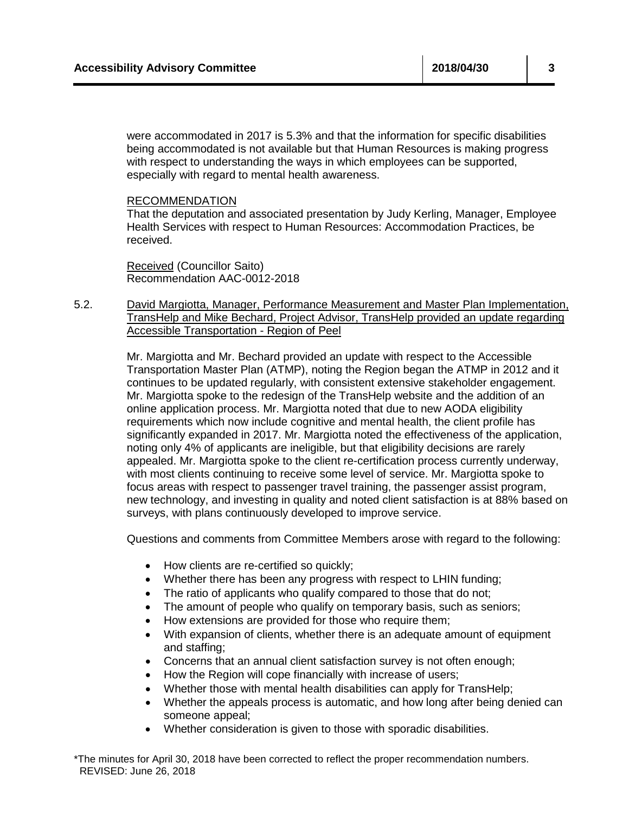were accommodated in 2017 is 5.3% and that the information for specific disabilities being accommodated is not available but that Human Resources is making progress with respect to understanding the ways in which employees can be supported, especially with regard to mental health awareness.

#### RECOMMENDATION

That the deputation and associated presentation by Judy Kerling, Manager, Employee Health Services with respect to Human Resources: Accommodation Practices, be received.

Received (Councillor Saito) Recommendation AAC-0012-2018

5.2. David Margiotta, Manager, Performance Measurement and Master Plan Implementation, TransHelp and Mike Bechard, Project Advisor, TransHelp provided an update regarding Accessible Transportation - Region of Peel

> Mr. Margiotta and Mr. Bechard provided an update with respect to the Accessible Transportation Master Plan (ATMP), noting the Region began the ATMP in 2012 and it continues to be updated regularly, with consistent extensive stakeholder engagement. Mr. Margiotta spoke to the redesign of the TransHelp website and the addition of an online application process. Mr. Margiotta noted that due to new AODA eligibility requirements which now include cognitive and mental health, the client profile has significantly expanded in 2017. Mr. Margiotta noted the effectiveness of the application, noting only 4% of applicants are ineligible, but that eligibility decisions are rarely appealed. Mr. Margiotta spoke to the client re-certification process currently underway, with most clients continuing to receive some level of service. Mr. Margiotta spoke to focus areas with respect to passenger travel training, the passenger assist program, new technology, and investing in quality and noted client satisfaction is at 88% based on surveys, with plans continuously developed to improve service.

Questions and comments from Committee Members arose with regard to the following:

- How clients are re-certified so quickly;
- Whether there has been any progress with respect to LHIN funding;
- The ratio of applicants who qualify compared to those that do not;
- The amount of people who qualify on temporary basis, such as seniors;
- How extensions are provided for those who require them;
- With expansion of clients, whether there is an adequate amount of equipment and staffing;
- Concerns that an annual client satisfaction survey is not often enough;
- How the Region will cope financially with increase of users;
- Whether those with mental health disabilities can apply for TransHelp;
- Whether the appeals process is automatic, and how long after being denied can someone appeal;
- Whether consideration is given to those with sporadic disabilities.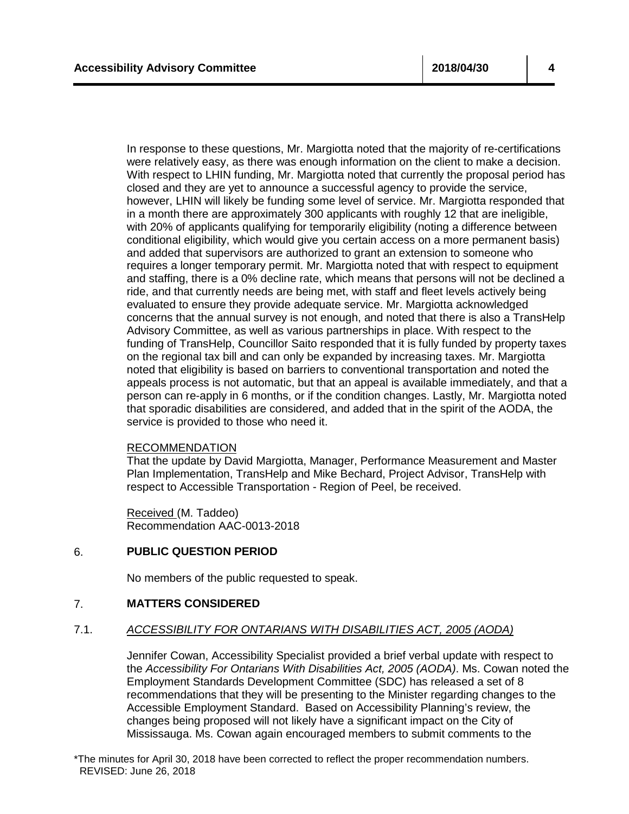In response to these questions, Mr. Margiotta noted that the majority of re-certifications were relatively easy, as there was enough information on the client to make a decision. With respect to LHIN funding, Mr. Margiotta noted that currently the proposal period has closed and they are yet to announce a successful agency to provide the service, however, LHIN will likely be funding some level of service. Mr. Margiotta responded that in a month there are approximately 300 applicants with roughly 12 that are ineligible, with 20% of applicants qualifying for temporarily eligibility (noting a difference between conditional eligibility, which would give you certain access on a more permanent basis) and added that supervisors are authorized to grant an extension to someone who requires a longer temporary permit. Mr. Margiotta noted that with respect to equipment and staffing, there is a 0% decline rate, which means that persons will not be declined a ride, and that currently needs are being met, with staff and fleet levels actively being evaluated to ensure they provide adequate service. Mr. Margiotta acknowledged concerns that the annual survey is not enough, and noted that there is also a TransHelp Advisory Committee, as well as various partnerships in place. With respect to the funding of TransHelp, Councillor Saito responded that it is fully funded by property taxes on the regional tax bill and can only be expanded by increasing taxes. Mr. Margiotta noted that eligibility is based on barriers to conventional transportation and noted the appeals process is not automatic, but that an appeal is available immediately, and that a person can re-apply in 6 months, or if the condition changes. Lastly, Mr. Margiotta noted that sporadic disabilities are considered, and added that in the spirit of the AODA, the service is provided to those who need it.

#### RECOMMENDATION

That the update by David Margiotta, Manager, Performance Measurement and Master Plan Implementation, TransHelp and Mike Bechard, Project Advisor, TransHelp with respect to Accessible Transportation - Region of Peel, be received.

Received (M. Taddeo) Recommendation AAC-0013-2018

#### 6. **PUBLIC QUESTION PERIOD**

No members of the public requested to speak.

#### 7. **MATTERS CONSIDERED**

#### 7.1. *ACCESSIBILITY FOR ONTARIANS WITH DISABILITIES ACT, 2005 (AODA)*

Jennifer Cowan, Accessibility Specialist provided a brief verbal update with respect to the *Accessibility For Ontarians With Disabilities Act, 2005 (AODA)*. Ms. Cowan noted the Employment Standards Development Committee (SDC) has released a set of 8 recommendations that they will be presenting to the Minister regarding changes to the Accessible Employment Standard. Based on Accessibility Planning's review, the changes being proposed will not likely have a significant impact on the City of Mississauga. Ms. Cowan again encouraged members to submit comments to the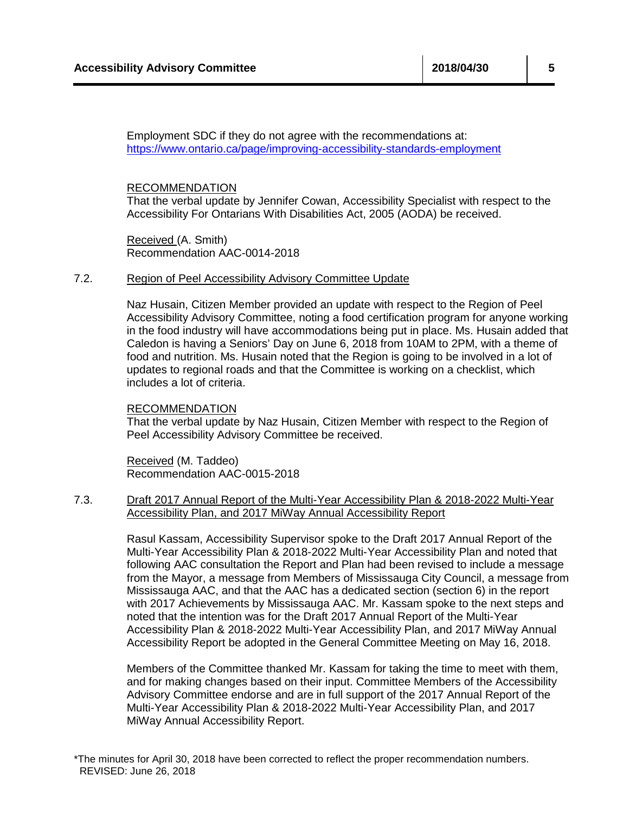Employment SDC if they do not agree with the recommendations at: <https://www.ontario.ca/page/improving-accessibility-standards-employment>

#### RECOMMENDATION

That the verbal update by Jennifer Cowan, Accessibility Specialist with respect to the Accessibility For Ontarians With Disabilities Act, 2005 (AODA) be received.

Received (A. Smith) Recommendation AAC-0014-2018

#### 7.2. Region of Peel Accessibility Advisory Committee Update

Naz Husain, Citizen Member provided an update with respect to the Region of Peel Accessibility Advisory Committee, noting a food certification program for anyone working in the food industry will have accommodations being put in place. Ms. Husain added that Caledon is having a Seniors' Day on June 6, 2018 from 10AM to 2PM, with a theme of food and nutrition. Ms. Husain noted that the Region is going to be involved in a lot of updates to regional roads and that the Committee is working on a checklist, which includes a lot of criteria.

#### RECOMMENDATION

That the verbal update by Naz Husain, Citizen Member with respect to the Region of Peel Accessibility Advisory Committee be received.

Received (M. Taddeo) Recommendation AAC-0015-2018

### 7.3. Draft 2017 Annual Report of the Multi-Year Accessibility Plan & 2018-2022 Multi-Year Accessibility Plan, and 2017 MiWay Annual Accessibility Report

Rasul Kassam, Accessibility Supervisor spoke to the Draft 2017 Annual Report of the Multi-Year Accessibility Plan & 2018-2022 Multi-Year Accessibility Plan and noted that following AAC consultation the Report and Plan had been revised to include a message from the Mayor, a message from Members of Mississauga City Council, a message from Mississauga AAC, and that the AAC has a dedicated section (section 6) in the report with 2017 Achievements by Mississauga AAC. Mr. Kassam spoke to the next steps and noted that the intention was for the Draft 2017 Annual Report of the Multi-Year Accessibility Plan & 2018-2022 Multi-Year Accessibility Plan, and 2017 MiWay Annual Accessibility Report be adopted in the General Committee Meeting on May 16, 2018.

Members of the Committee thanked Mr. Kassam for taking the time to meet with them, and for making changes based on their input. Committee Members of the Accessibility Advisory Committee endorse and are in full support of the 2017 Annual Report of the Multi-Year Accessibility Plan & 2018-2022 Multi-Year Accessibility Plan, and 2017 MiWay Annual Accessibility Report.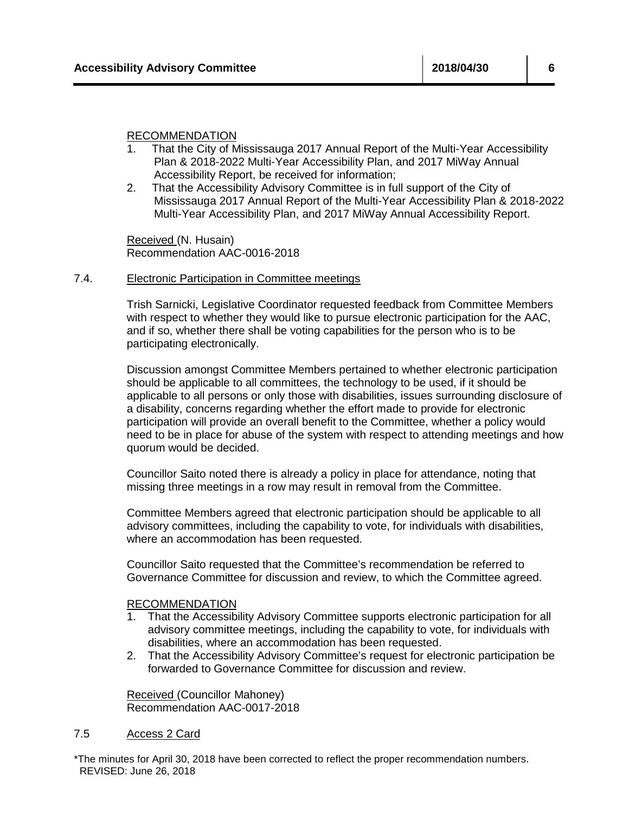#### RECOMMENDATION

- 1. That the City of Mississauga 2017 Annual Report of the Multi-Year Accessibility Plan & 2018-2022 Multi-Year Accessibility Plan, and 2017 MiWay Annual Accessibility Report, be received for information;
- 2. That the Accessibility Advisory Committee is in full support of the City of Mississauga 2017 Annual Report of the Multi-Year Accessibility Plan & 2018-2022 Multi-Year Accessibility Plan, and 2017 MiWay Annual Accessibility Report.

Received (N. Husain) Recommendation AAC-0016-2018

#### 7.4. Electronic Participation in Committee meetings

Trish Sarnicki, Legislative Coordinator requested feedback from Committee Members with respect to whether they would like to pursue electronic participation for the AAC, and if so, whether there shall be voting capabilities for the person who is to be participating electronically.

Discussion amongst Committee Members pertained to whether electronic participation should be applicable to all committees, the technology to be used, if it should be applicable to all persons or only those with disabilities, issues surrounding disclosure of a disability, concerns regarding whether the effort made to provide for electronic participation will provide an overall benefit to the Committee, whether a policy would need to be in place for abuse of the system with respect to attending meetings and how quorum would be decided.

Councillor Saito noted there is already a policy in place for attendance, noting that missing three meetings in a row may result in removal from the Committee.

Committee Members agreed that electronic participation should be applicable to all advisory committees, including the capability to vote, for individuals with disabilities, where an accommodation has been requested.

Councillor Saito requested that the Committee's recommendation be referred to Governance Committee for discussion and review, to which the Committee agreed.

#### RECOMMENDATION

- 1. That the Accessibility Advisory Committee supports electronic participation for all advisory committee meetings, including the capability to vote, for individuals with disabilities, where an accommodation has been requested.
- 2. That the Accessibility Advisory Committee's request for electronic participation be forwarded to Governance Committee for discussion and review.

Received (Councillor Mahoney) Recommendation AAC-0017-2018

#### 7.5 Access 2 Card

\*The minutes for April 30, 2018 have been corrected to reflect the proper recommendation numbers. REVISED: June 26, 2018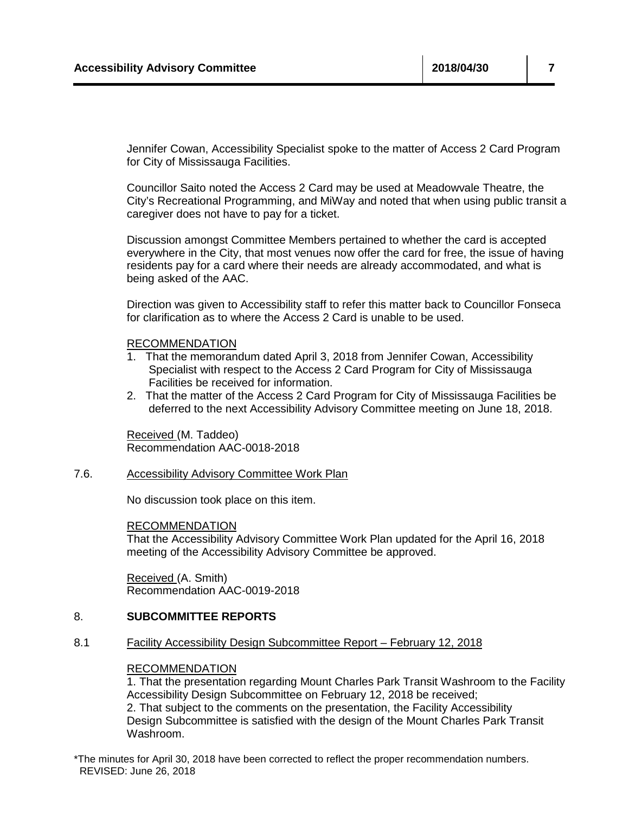Jennifer Cowan, Accessibility Specialist spoke to the matter of Access 2 Card Program for City of Mississauga Facilities.

Councillor Saito noted the Access 2 Card may be used at Meadowvale Theatre, the City's Recreational Programming, and MiWay and noted that when using public transit a caregiver does not have to pay for a ticket.

Discussion amongst Committee Members pertained to whether the card is accepted everywhere in the City, that most venues now offer the card for free, the issue of having residents pay for a card where their needs are already accommodated, and what is being asked of the AAC.

Direction was given to Accessibility staff to refer this matter back to Councillor Fonseca for clarification as to where the Access 2 Card is unable to be used.

#### RECOMMENDATION

- 1. That the memorandum dated April 3, 2018 from Jennifer Cowan, Accessibility Specialist with respect to the Access 2 Card Program for City of Mississauga Facilities be received for information.
- 2. That the matter of the Access 2 Card Program for City of Mississauga Facilities be deferred to the next Accessibility Advisory Committee meeting on June 18, 2018.

Received (M. Taddeo) Recommendation AAC-0018-2018

7.6. Accessibility Advisory Committee Work Plan

No discussion took place on this item.

RECOMMENDATION

That the Accessibility Advisory Committee Work Plan updated for the April 16, 2018 meeting of the Accessibility Advisory Committee be approved.

Received (A. Smith) Recommendation AAC-0019-2018

#### 8. **SUBCOMMITTEE REPORTS**

8.1 Facility Accessibility Design Subcommittee Report – February 12, 2018

#### RECOMMENDATION

1. That the presentation regarding Mount Charles Park Transit Washroom to the Facility Accessibility Design Subcommittee on February 12, 2018 be received; 2. That subject to the comments on the presentation, the Facility Accessibility Design Subcommittee is satisfied with the design of the Mount Charles Park Transit Washroom.